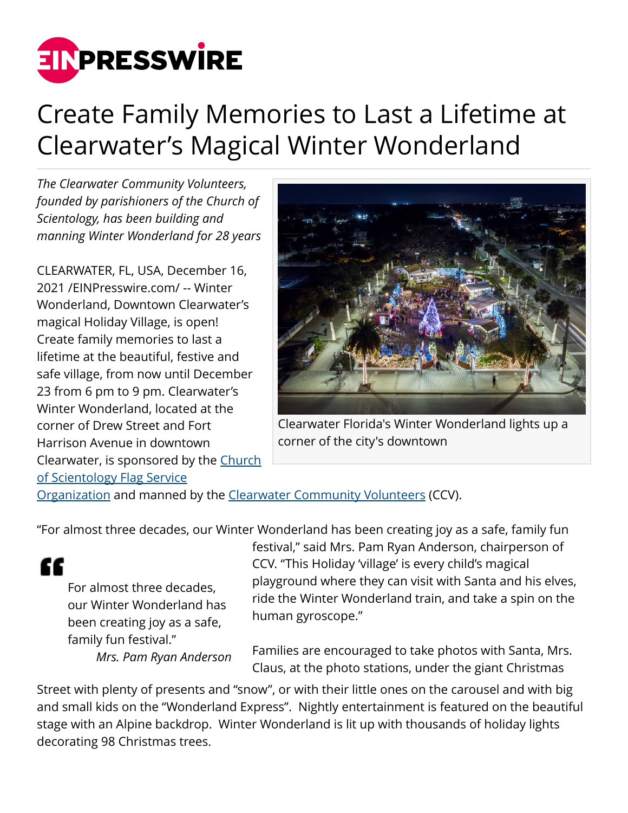

## Create Family Memories to Last a Lifetime at Clearwater's Magical Winter Wonderland

*The Clearwater Community Volunteers, founded by parishioners of the Church of Scientology, has been building and manning Winter Wonderland for 28 years*

CLEARWATER, FL, USA, December 16, 2021 /[EINPresswire.com](http://www.einpresswire.com)/ -- Winter Wonderland, Downtown Clearwater's magical Holiday Village, is open! Create family memories to last a lifetime at the beautiful, festive and safe village, from now until December 23 from 6 pm to 9 pm. Clearwater's Winter Wonderland, located at the corner of Drew Street and Fort Harrison Avenue in downtown Clearwater, is sponsored by the [Church](http://www.scientology-fso.org) [of Scientology Flag Service](http://www.scientology-fso.org)



Clearwater Florida's Winter Wonderland lights up a corner of the city's downtown

[Organization](http://www.scientology-fso.org) and manned by the [Clearwater Community Volunteers](http://www.ccvfl.org) (CCV).

"For almost three decades, our Winter Wonderland has been creating joy as a safe, family fun

££

For almost three decades, our Winter Wonderland has been creating joy as a safe, family fun festival."

*Mrs. Pam Ryan Anderson*

festival," said Mrs. Pam Ryan Anderson, chairperson of CCV. "This Holiday 'village' is every child's magical playground where they can visit with Santa and his elves, ride the Winter Wonderland train, and take a spin on the human gyroscope."

Families are encouraged to take photos with Santa, Mrs. Claus, at the photo stations, under the giant Christmas

Street with plenty of presents and "snow", or with their little ones on the carousel and with big and small kids on the "Wonderland Express". Nightly entertainment is featured on the beautiful stage with an Alpine backdrop. Winter Wonderland is lit up with thousands of holiday lights decorating 98 Christmas trees.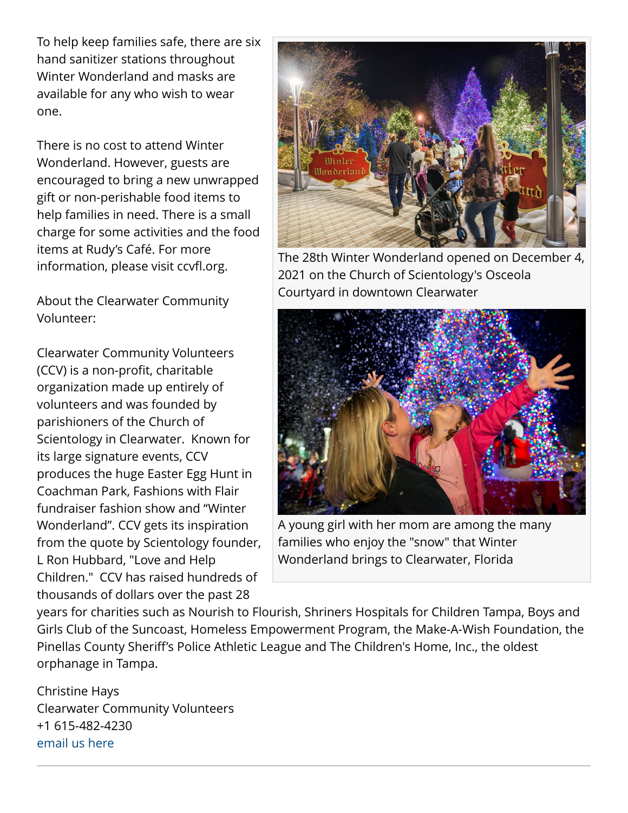To help keep families safe, there are six hand sanitizer stations throughout Winter Wonderland and masks are available for any who wish to wear one.

There is no cost to attend Winter Wonderland. However, guests are encouraged to bring a new unwrapped gift or non-perishable food items to help families in need. There is a small charge for some activities and the food items at Rudy's Café. For more information, please visit ccvfl.org.

About the Clearwater Community Volunteer:

Clearwater Community Volunteers (CCV) is a non-profit, charitable organization made up entirely of volunteers and was founded by parishioners of the Church of Scientology in Clearwater. Known for its large signature events, CCV produces the huge Easter Egg Hunt in Coachman Park, Fashions with Flair fundraiser fashion show and "Winter Wonderland". CCV gets its inspiration from the quote by Scientology founder, L Ron Hubbard, "Love and Help Children." CCV has raised hundreds of thousands of dollars over the past 28



The 28th Winter Wonderland opened on December 4, 2021 on the Church of Scientology's Osceola Courtyard in downtown Clearwater



A young girl with her mom are among the many families who enjoy the "snow" that Winter Wonderland brings to Clearwater, Florida

years for charities such as Nourish to Flourish, Shriners Hospitals for Children Tampa, Boys and Girls Club of the Suncoast, Homeless Empowerment Program, the Make-A-Wish Foundation, the Pinellas County Sheriff's Police Athletic League and The Children's Home, Inc., the oldest orphanage in Tampa.

Christine Hays Clearwater Community Volunteers +1 615-482-4230 [email us here](http://www.einpresswire.com/contact_author/3219399)